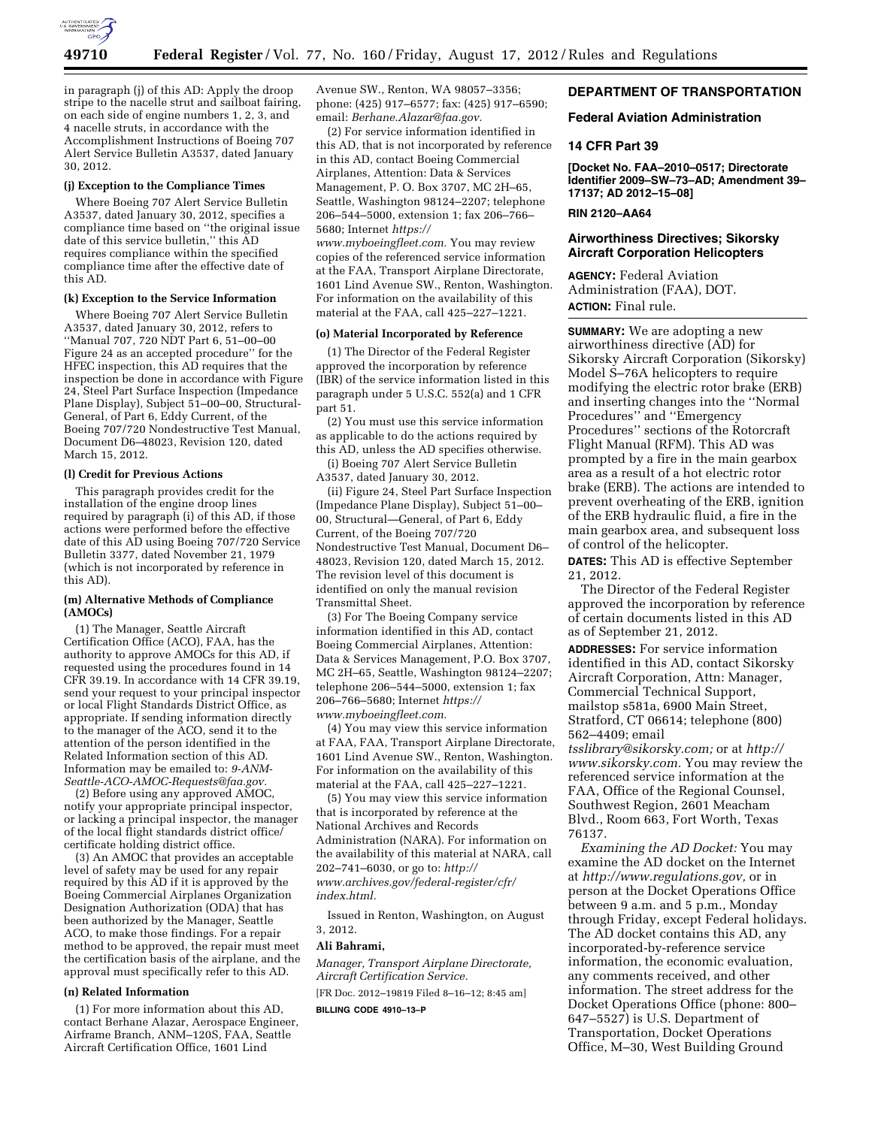

in paragraph (j) of this AD: Apply the droop stripe to the nacelle strut and sailboat fairing, on each side of engine numbers 1, 2, 3, and 4 nacelle struts, in accordance with the Accomplishment Instructions of Boeing 707 Alert Service Bulletin A3537, dated January 30, 2012.

#### **(j) Exception to the Compliance Times**

Where Boeing 707 Alert Service Bulletin A3537, dated January 30, 2012, specifies a compliance time based on ''the original issue date of this service bulletin,'' this AD requires compliance within the specified compliance time after the effective date of this AD.

## **(k) Exception to the Service Information**

Where Boeing 707 Alert Service Bulletin A3537, dated January 30, 2012, refers to ''Manual 707, 720 NDT Part 6, 51–00–00 Figure 24 as an accepted procedure'' for the HFEC inspection, this AD requires that the inspection be done in accordance with Figure 24, Steel Part Surface Inspection (Impedance Plane Display), Subject 51–00–00, Structural-General, of Part 6, Eddy Current, of the Boeing 707/720 Nondestructive Test Manual, Document D6–48023, Revision 120, dated March 15, 2012.

#### **(l) Credit for Previous Actions**

This paragraph provides credit for the installation of the engine droop lines required by paragraph (i) of this AD, if those actions were performed before the effective date of this AD using Boeing 707/720 Service Bulletin 3377, dated November 21, 1979 (which is not incorporated by reference in this AD).

## **(m) Alternative Methods of Compliance (AMOCs)**

(1) The Manager, Seattle Aircraft Certification Office (ACO), FAA, has the authority to approve AMOCs for this AD, if requested using the procedures found in 14 CFR 39.19. In accordance with 14 CFR 39.19, send your request to your principal inspector or local Flight Standards District Office, as appropriate. If sending information directly to the manager of the ACO, send it to the attention of the person identified in the Related Information section of this AD. Information may be emailed to: *[9-ANM-](mailto:9-ANM-Seattle-ACO-AMOC-Requests@faa.gov)[Seattle-ACO-AMOC-Requests@faa.gov.](mailto:9-ANM-Seattle-ACO-AMOC-Requests@faa.gov)* 

(2) Before using any approved AMOC, notify your appropriate principal inspector, or lacking a principal inspector, the manager of the local flight standards district office/ certificate holding district office.

(3) An AMOC that provides an acceptable level of safety may be used for any repair required by this AD if it is approved by the Boeing Commercial Airplanes Organization Designation Authorization (ODA) that has been authorized by the Manager, Seattle ACO, to make those findings. For a repair method to be approved, the repair must meet the certification basis of the airplane, and the approval must specifically refer to this AD.

## **(n) Related Information**

(1) For more information about this AD, contact Berhane Alazar, Aerospace Engineer, Airframe Branch, ANM–120S, FAA, Seattle Aircraft Certification Office, 1601 Lind

Avenue SW., Renton, WA 98057–3356; phone: (425) 917–6577; fax: (425) 917–6590; email: *[Berhane.Alazar@faa.gov.](mailto:Berhane.Alazar@faa.gov)* 

(2) For service information identified in this AD, that is not incorporated by reference in this AD, contact Boeing Commercial Airplanes, Attention: Data & Services Management, P. O. Box 3707, MC 2H–65, Seattle, Washington 98124–2207; telephone 206–544–5000, extension 1; fax 206–766– 5680; Internet *[https://](https://www.myboeingfleet.com) [www.myboeingfleet.com.](https://www.myboeingfleet.com)* You may review copies of the referenced service information at the FAA, Transport Airplane Directorate, 1601 Lind Avenue SW., Renton, Washington. For information on the availability of this material at the FAA, call 425–227–1221.

### **(o) Material Incorporated by Reference**

(1) The Director of the Federal Register approved the incorporation by reference (IBR) of the service information listed in this paragraph under 5 U.S.C. 552(a) and 1 CFR part 51.

(2) You must use this service information as applicable to do the actions required by this AD, unless the AD specifies otherwise.

(i) Boeing 707 Alert Service Bulletin A3537, dated January 30, 2012.

(ii) Figure 24, Steel Part Surface Inspection (Impedance Plane Display), Subject 51–00– 00, Structural—General, of Part 6, Eddy Current, of the Boeing 707/720 Nondestructive Test Manual, Document D6– 48023, Revision 120, dated March 15, 2012. The revision level of this document is identified on only the manual revision Transmittal Sheet.

(3) For The Boeing Company service information identified in this AD, contact Boeing Commercial Airplanes, Attention: Data & Services Management, P.O. Box 3707, MC 2H–65, Seattle, Washington 98124–2207; telephone 206–544–5000, extension 1; fax 206–766–5680; Internet *[https://](https://www.myboeingfleet.com)  [www.myboeingfleet.com.](https://www.myboeingfleet.com)* 

(4) You may view this service information at FAA, FAA, Transport Airplane Directorate, 1601 Lind Avenue SW., Renton, Washington. For information on the availability of this material at the FAA, call 425–227–1221.

(5) You may view this service information that is incorporated by reference at the National Archives and Records Administration (NARA). For information on the availability of this material at NARA, call 202–741–6030, or go to: *[http://](http://www.archives.gov/federal-register/cfr/index.html) [www.archives.gov/federal-register/cfr/](http://www.archives.gov/federal-register/cfr/index.html) [index.html.](http://www.archives.gov/federal-register/cfr/index.html)* 

Issued in Renton, Washington, on August 3, 2012.

### **Ali Bahrami,**

*Manager, Transport Airplane Directorate, Aircraft Certification Service.* 

[FR Doc. 2012–19819 Filed 8–16–12; 8:45 am]

**BILLING CODE 4910–13–P** 

## **DEPARTMENT OF TRANSPORTATION**

## **Federal Aviation Administration**

#### **14 CFR Part 39**

**[Docket No. FAA–2010–0517; Directorate Identifier 2009–SW–73–AD; Amendment 39– 17137; AD 2012–15–08]** 

## **RIN 2120–AA64**

## **Airworthiness Directives; Sikorsky Aircraft Corporation Helicopters**

**AGENCY:** Federal Aviation Administration (FAA), DOT. **ACTION:** Final rule.

**SUMMARY:** We are adopting a new airworthiness directive (AD) for Sikorsky Aircraft Corporation (Sikorsky) Model S–76A helicopters to require modifying the electric rotor brake (ERB) and inserting changes into the ''Normal Procedures'' and ''Emergency Procedures'' sections of the Rotorcraft Flight Manual (RFM). This AD was prompted by a fire in the main gearbox area as a result of a hot electric rotor brake (ERB). The actions are intended to prevent overheating of the ERB, ignition of the ERB hydraulic fluid, a fire in the main gearbox area, and subsequent loss of control of the helicopter.

**DATES:** This AD is effective September 21, 2012.

The Director of the Federal Register approved the incorporation by reference of certain documents listed in this AD as of September 21, 2012.

**ADDRESSES:** For service information identified in this AD, contact Sikorsky Aircraft Corporation, Attn: Manager, Commercial Technical Support, mailstop s581a, 6900 Main Street, Stratford, CT 06614; telephone (800) 562–4409; email

*[tsslibrary@sikorsky.com;](mailto:tsslibrary@sikorsky.com)* or at *[http://](http://www.sikorsky.com) [www.sikorsky.com.](http://www.sikorsky.com)* You may review the referenced service information at the FAA, Office of the Regional Counsel, Southwest Region, 2601 Meacham Blvd., Room 663, Fort Worth, Texas 76137.

*Examining the AD Docket:* You may examine the AD docket on the Internet at *[http://www.regulations.gov,](http://www.regulations.gov)* or in person at the Docket Operations Office between 9 a.m. and 5 p.m., Monday through Friday, except Federal holidays. The AD docket contains this AD, any incorporated-by-reference service information, the economic evaluation, any comments received, and other information. The street address for the Docket Operations Office (phone: 800– 647–5527) is U.S. Department of Transportation, Docket Operations Office, M–30, West Building Ground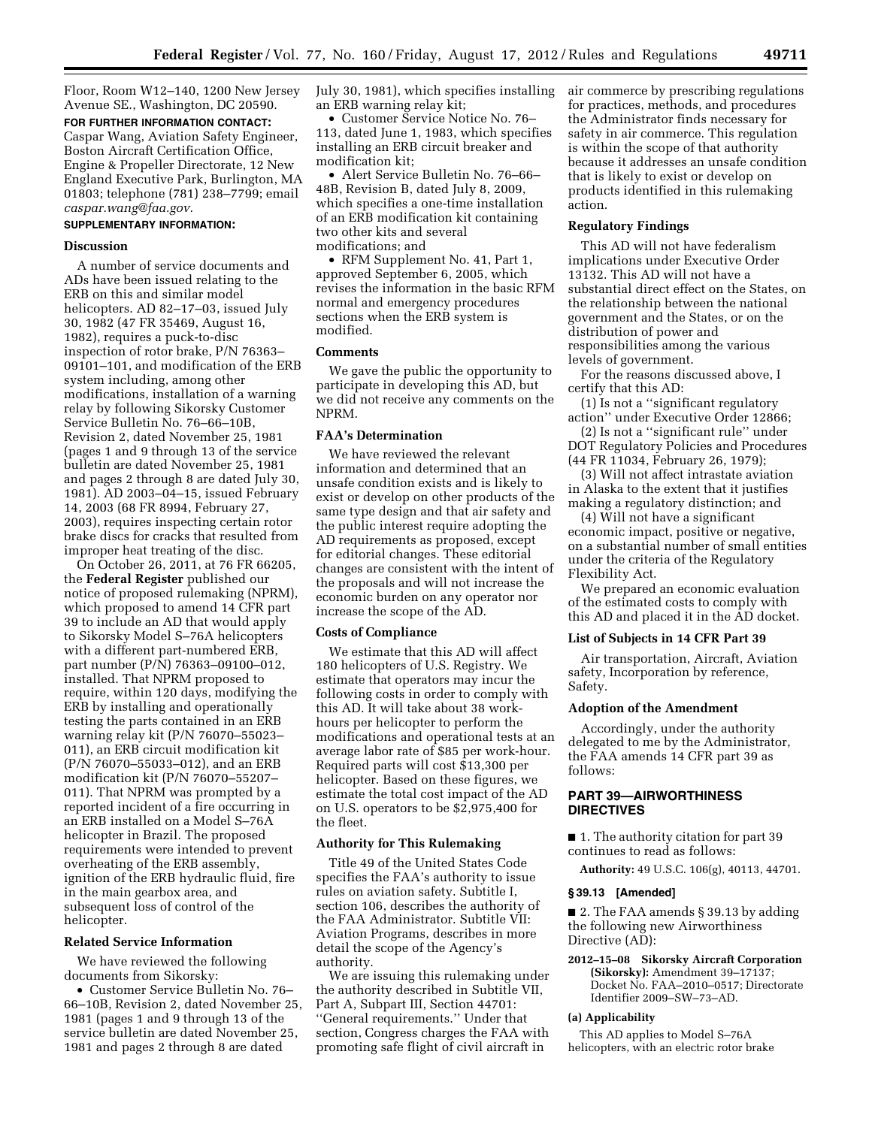Floor, Room W12–140, 1200 New Jersey Avenue SE., Washington, DC 20590.

**FOR FURTHER INFORMATION CONTACT:**  Caspar Wang, Aviation Safety Engineer, Boston Aircraft Certification Office, Engine & Propeller Directorate, 12 New England Executive Park, Burlington, MA 01803; telephone (781) 238–7799; email *[caspar.wang@faa.gov.](mailto:caspar.wang@faa.gov)* 

# **SUPPLEMENTARY INFORMATION:**

#### **Discussion**

A number of service documents and ADs have been issued relating to the ERB on this and similar model helicopters. AD 82–17–03, issued July 30, 1982 (47 FR 35469, August 16, 1982), requires a puck-to-disc inspection of rotor brake, P/N 76363– 09101–101, and modification of the ERB system including, among other modifications, installation of a warning relay by following Sikorsky Customer Service Bulletin No. 76–66–10B, Revision 2, dated November 25, 1981 (pages 1 and 9 through 13 of the service bulletin are dated November 25, 1981 and pages 2 through 8 are dated July 30, 1981). AD 2003–04–15, issued February 14, 2003 (68 FR 8994, February 27, 2003), requires inspecting certain rotor brake discs for cracks that resulted from improper heat treating of the disc.

On October 26, 2011, at 76 FR 66205, the **Federal Register** published our notice of proposed rulemaking (NPRM), which proposed to amend 14 CFR part 39 to include an AD that would apply to Sikorsky Model S–76A helicopters with a different part-numbered ERB, part number (P/N) 76363–09100–012, installed. That NPRM proposed to require, within 120 days, modifying the ERB by installing and operationally testing the parts contained in an ERB warning relay kit (P/N 76070–55023– 011), an ERB circuit modification kit (P/N 76070–55033–012), and an ERB modification kit (P/N 76070–55207– 011). That NPRM was prompted by a reported incident of a fire occurring in an ERB installed on a Model S–76A helicopter in Brazil. The proposed requirements were intended to prevent overheating of the ERB assembly, ignition of the ERB hydraulic fluid, fire in the main gearbox area, and subsequent loss of control of the helicopter.

## **Related Service Information**

We have reviewed the following documents from Sikorsky:

• Customer Service Bulletin No. 76– 66–10B, Revision 2, dated November 25, 1981 (pages 1 and 9 through 13 of the service bulletin are dated November 25, 1981 and pages 2 through 8 are dated

July 30, 1981), which specifies installing an ERB warning relay kit;

• Customer Service Notice No. 76– 113, dated June 1, 1983, which specifies installing an ERB circuit breaker and modification kit;

• Alert Service Bulletin No. 76–66– 48B, Revision B, dated July 8, 2009, which specifies a one-time installation of an ERB modification kit containing two other kits and several modifications; and

• RFM Supplement No. 41, Part 1, approved September 6, 2005, which revises the information in the basic RFM normal and emergency procedures sections when the ERB system is modified.

## **Comments**

We gave the public the opportunity to participate in developing this AD, but we did not receive any comments on the NPRM.

## **FAA's Determination**

We have reviewed the relevant information and determined that an unsafe condition exists and is likely to exist or develop on other products of the same type design and that air safety and the public interest require adopting the AD requirements as proposed, except for editorial changes. These editorial changes are consistent with the intent of the proposals and will not increase the economic burden on any operator nor increase the scope of the AD.

### **Costs of Compliance**

We estimate that this AD will affect 180 helicopters of U.S. Registry. We estimate that operators may incur the following costs in order to comply with this AD. It will take about 38 workhours per helicopter to perform the modifications and operational tests at an average labor rate of \$85 per work-hour. Required parts will cost \$13,300 per helicopter. Based on these figures, we estimate the total cost impact of the AD on U.S. operators to be \$2,975,400 for the fleet.

### **Authority for This Rulemaking**

Title 49 of the United States Code specifies the FAA's authority to issue rules on aviation safety. Subtitle I, section 106, describes the authority of the FAA Administrator. Subtitle VII: Aviation Programs, describes in more detail the scope of the Agency's authority.

We are issuing this rulemaking under the authority described in Subtitle VII, Part A, Subpart III, Section 44701: ''General requirements.'' Under that section, Congress charges the FAA with promoting safe flight of civil aircraft in

air commerce by prescribing regulations for practices, methods, and procedures the Administrator finds necessary for safety in air commerce. This regulation is within the scope of that authority because it addresses an unsafe condition that is likely to exist or develop on products identified in this rulemaking action.

### **Regulatory Findings**

This AD will not have federalism implications under Executive Order 13132. This AD will not have a substantial direct effect on the States, on the relationship between the national government and the States, or on the distribution of power and responsibilities among the various levels of government.

For the reasons discussed above, I certify that this AD:

(1) Is not a ''significant regulatory action'' under Executive Order 12866;

(2) Is not a ''significant rule'' under DOT Regulatory Policies and Procedures (44 FR 11034, February 26, 1979);

(3) Will not affect intrastate aviation in Alaska to the extent that it justifies making a regulatory distinction; and

(4) Will not have a significant economic impact, positive or negative, on a substantial number of small entities under the criteria of the Regulatory Flexibility Act.

We prepared an economic evaluation of the estimated costs to comply with this AD and placed it in the AD docket.

## **List of Subjects in 14 CFR Part 39**

Air transportation, Aircraft, Aviation safety, Incorporation by reference, Safety.

#### **Adoption of the Amendment**

Accordingly, under the authority delegated to me by the Administrator, the FAA amends 14 CFR part 39 as follows:

# **PART 39—AIRWORTHINESS DIRECTIVES**

■ 1. The authority citation for part 39 continues to read as follows:

**Authority:** 49 U.S.C. 106(g), 40113, 44701.

#### **§ 39.13 [Amended]**

■ 2. The FAA amends § 39.13 by adding the following new Airworthiness Directive (AD):

**2012–15–08 Sikorsky Aircraft Corporation (Sikorsky):** Amendment 39–17137; Docket No. FAA–2010–0517; Directorate Identifier 2009–SW–73–AD.

#### **(a) Applicability**

This AD applies to Model S–76A helicopters, with an electric rotor brake